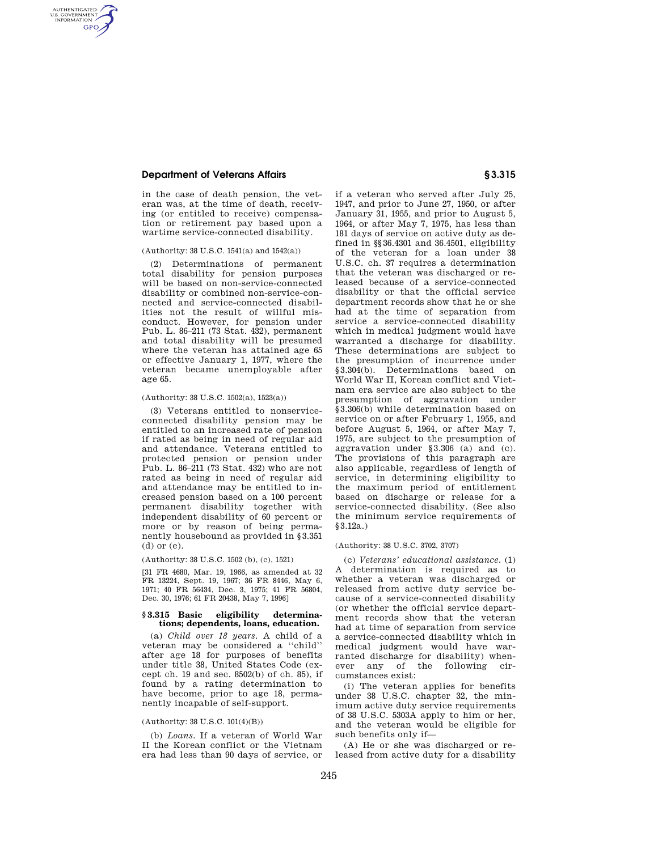# **Department of Veterans Affairs § 3.315**

AUTHENTICATED<br>U.S. GOVERNMENT<br>INFORMATION **GPO** 

> in the case of death pension, the veteran was, at the time of death, receiving (or entitled to receive) compensation or retirement pay based upon a wartime service-connected disability.

#### (Authority: 38 U.S.C. 1541(a) and 1542(a))

(2) Determinations of permanent total disability for pension purposes will be based on non-service-connected disability or combined non-service-connected and service-connected disabilities not the result of willful misconduct. However, for pension under Pub. L. 86–211 (73 Stat. 432), permanent and total disability will be presumed where the veteran has attained age 65 or effective January 1, 1977, where the veteran became unemployable after age 65.

## (Authority: 38 U.S.C. 1502(a), 1523(a))

(3) Veterans entitled to nonserviceconnected disability pension may be entitled to an increased rate of pension if rated as being in need of regular aid and attendance. Veterans entitled to protected pension or pension under Pub. L. 86–211 (73 Stat. 432) who are not rated as being in need of regular aid and attendance may be entitled to increased pension based on a 100 percent permanent disability together with independent disability of 60 percent or more or by reason of being permanently housebound as provided in §3.351 (d) or (e).

## (Authority: 38 U.S.C. 1502 (b), (c), 1521)

[31 FR 4680, Mar. 19, 1966, as amended at 32 FR 13224, Sept. 19, 1967; 36 FR 8446, May 6, 1971; 40 FR 56434, Dec. 3, 1975; 41 FR 56804, Dec. 30, 1976; 61 FR 20438, May 7, 1996]

## **§ 3.315 Basic eligibility determinations; dependents, loans, education.**

(a) *Child over 18 years.* A child of a veteran may be considered a ''child'' after age 18 for purposes of benefits under title 38, United States Code (except ch. 19 and sec. 8502(b) of ch. 85), if found by a rating determination to have become, prior to age 18, permanently incapable of self-support.

## (Authority: 38 U.S.C. 101(4)(B))

(b) *Loans.* If a veteran of World War II the Korean conflict or the Vietnam era had less than 90 days of service, or

if a veteran who served after July 25, 1947, and prior to June 27, 1950, or after January 31, 1955, and prior to August 5, 1964, or after May 7, 1975, has less than 181 days of service on active duty as defined in §§36.4301 and 36.4501, eligibility of the veteran for a loan under 38 U.S.C. ch. 37 requires a determination that the veteran was discharged or released because of a service-connected disability or that the official service department records show that he or she had at the time of separation from service a service-connected disability which in medical judgment would have warranted a discharge for disability. These determinations are subject to the presumption of incurrence under §3.304(b). Determinations based on World War II, Korean conflict and Vietnam era service are also subject to the presumption of aggravation under §3.306(b) while determination based on service on or after February 1, 1955, and before August 5, 1964, or after May 7, 1975, are subject to the presumption of aggravation under §3.306 (a) and (c). The provisions of this paragraph are also applicable, regardless of length of service, in determining eligibility to the maximum period of entitlement based on discharge or release for a service-connected disability. (See also the minimum service requirements of §3.12a.)

#### (Authority: 38 U.S.C. 3702, 3707)

(c) *Veterans' educational assistance.* (1) A determination is required as to whether a veteran was discharged or released from active duty service because of a service-connected disability (or whether the official service department records show that the veteran had at time of separation from service a service-connected disability which in medical judgment would have warranted discharge for disability) whenever any of the following circumstances exist:

(i) The veteran applies for benefits under 38 U.S.C. chapter 32, the minimum active duty service requirements of 38 U.S.C. 5303A apply to him or her, and the veteran would be eligible for such benefits only if—

(A) He or she was discharged or released from active duty for a disability